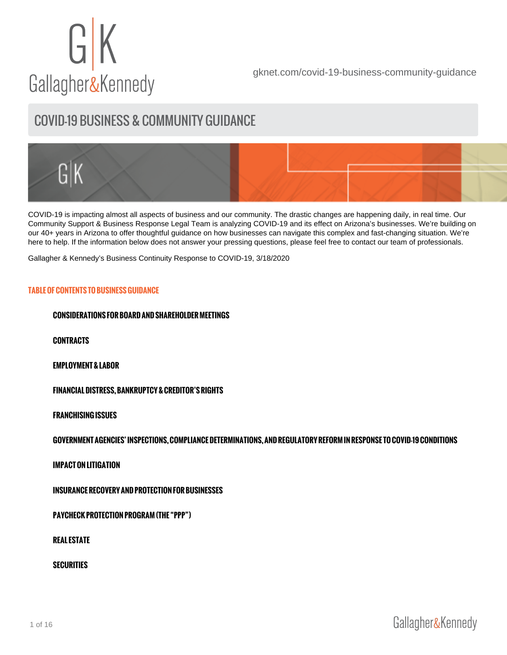[gknet.com/covid-19-business-community-guidance](https://gknet.com/departments/covid-19-business-community-guidance/)

# COVID-19 BUSINESS & COMMUNITY GUIDANCE

[COVID-19](https://www.cdc.gov/) is impacting almost all aspects of business and our community. The drastic changes are happening daily, in real time. Our Community Support & Business Response Legal Team is analyzing COVID-19 and its effect on Arizona's businesses. We're building on our 40+ years in Arizona to offer thoughtful guidance on how businesses can navigate this complex and fast-changing situation. We're here to help. If the information below does not answer your pressing questions, please feel free to contact our team of professionals.

[Gallagher & Kennedy's Business Continuity Response to COVID-19, 3/18/2020](https://gknet.com/news-item/gallagher-kennedys-business-continuity-response-to-covid-19/)

# TABLE OF CONTENTS TO BUSINESS GUIDANCE

CONSIDERATIONS FOR BOARD AND SHAREHOLDER MEETINGS

CONTRACTS

EMPLOYMENT & LABOR

FINANCIAL DISTRESS, BANKRUPTCY & CREDITOR S RIGHTS

FRANCHISING ISSUES

GOVERNMENT AGENCIES INSPECTIONS, COMPLIANCE DETERMINATIONS, AND REGI

IMPACT ON LITIGATION

INSURANCE RECOVERY AND PROTECTION FOR BUSINESSES

PAYCHECK PROTECTION PROGRAM (THE PPP )

REAL ESTATE

**SECURITIES**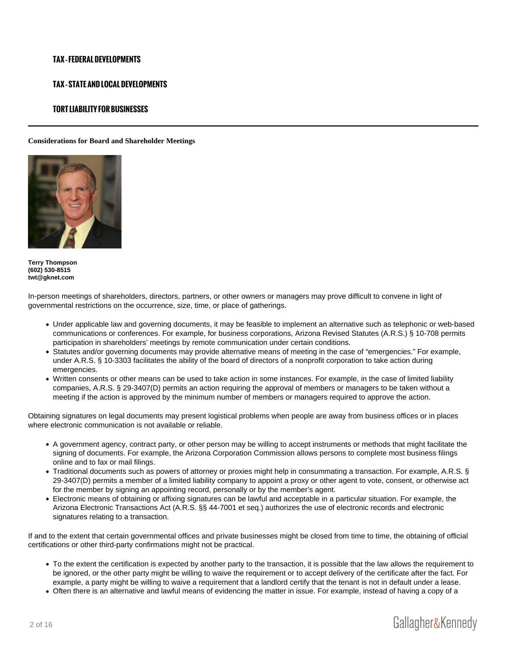## TAX FEDERAL DEVELOPMENTS

## TAX STATE AND LOCAL DEVELOPMENTS

## TORT LIABILITY FOR BUSINESSES

Considerations for Board and Shareholder Meetings

[Terry Thompson](https://gknet.com/attorneys/terrythompson/) (602) 530-8515 [twt@gknet.com](mailto:twt@gknet.com)

In-person meetings of shareholders, directors, partners, or other owners or managers may prove difficult to convene in light of governmental restrictions on the occurrence, size, time, or place of gatherings.

- Under applicable law and governing documents, it may be feasible to implement an alternative such as telephonic or web-based communications or conferences. For example, for business corporations, Arizona Revised Statutes (A.R.S.) § 10-708 permits participation in shareholders' meetings by remote communication under certain conditions.
- Statutes and/or governing documents may provide alternative means of meeting in the case of "emergencies." For example, under A.R.S. § 10-3303 facilitates the ability of the board of directors of a nonprofit corporation to take action during emergencies.
- Written consents or other means can be used to take action in some instances. For example, in the case of limited liability companies, A.R.S. § 29-3407(D) permits an action requiring the approval of members or managers to be taken without a meeting if the action is approved by the minimum number of members or managers required to approve the action.

Obtaining signatures on legal documents may present logistical problems when people are away from business offices or in places where electronic communication is not available or reliable.

- A government agency, contract party, or other person may be willing to accept instruments or methods that might facilitate the signing of documents. For example, the Arizona Corporation Commission allows persons to complete most business filings online and to fax or mail filings.
- Traditional documents such as powers of attorney or proxies might help in consummating a transaction. For example, A.R.S. § 29-3407(D) permits a member of a limited liability company to appoint a proxy or other agent to vote, consent, or otherwise act for the member by signing an appointing record, personally or by the member's agent.
- Electronic means of obtaining or affixing signatures can be lawful and acceptable in a particular situation. For example, the Arizona Electronic Transactions Act (A.R.S. §§ 44-7001 et seq.) authorizes the use of electronic records and electronic signatures relating to a transaction.

If and to the extent that certain governmental offices and private businesses might be closed from time to time, the obtaining of official certifications or other third-party confirmations might not be practical.

- To the extent the certification is expected by another party to the transaction, it is possible that the law allows the requirement to be ignored, or the other party might be willing to waive the requirement or to accept delivery of the certificate after the fact. For example, a party might be willing to waive a requirement that a landlord certify that the tenant is not in default under a lease.
- Often there is an alternative and lawful means of evidencing the matter in issue. For example, instead of having a copy of a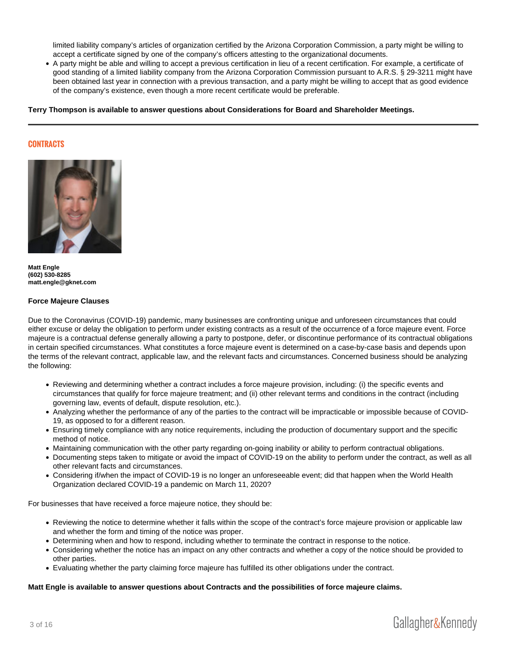limited liability company's articles of organization certified by the Arizona Corporation Commission, a party might be willing to accept a certificate signed by one of the company's officers attesting to the organizational documents.

A party might be able and willing to accept a previous certification in lieu of a recent certification. For example, a certificate of good standing of a limited liability company from the Arizona Corporation Commission pursuant to A.R.S. § 29-3211 might have been obtained last year in connection with a previous transaction, and a party might be willing to accept that as good evidence of the company's existence, even though a more recent certificate would be preferable.

Terry Thompson is available to answer questions about Considerations for Board and Shareholder Meetings.

## CONTRACTS

[Matt Engle](https://gknet.com/attorneys/matthew-h-engle/) (602) 530-8285 [matt.engle@gknet.com](mailto:matt.engle@gknet.com)

#### Force Majeure Clauses

Due to the Coronavirus (COVID-19) pandemic, many businesses are confronting unique and unforeseen circumstances that could either excuse or delay the obligation to perform under existing contracts as a result of the occurrence of a force majeure event. Force majeure is a contractual defense generally allowing a party to postpone, defer, or discontinue performance of its contractual obligations in certain specified circumstances. What constitutes a force majeure event is determined on a case-by-case basis and depends upon the terms of the relevant contract, applicable law, and the relevant facts and circumstances. Concerned business should be analyzing the following:

- Reviewing and determining whether a contract includes a force majeure provision, including: (i) the specific events and circumstances that qualify for force majeure treatment; and (ii) other relevant terms and conditions in the contract (including governing law, events of default, dispute resolution, etc.).
- Analyzing whether the performance of any of the parties to the contract will be impracticable or impossible because of COVID-19, as opposed to for a different reason.
- Ensuring timely compliance with any notice requirements, including the production of documentary support and the specific method of notice.
- Maintaining communication with the other party regarding on-going inability or ability to perform contractual obligations.
- Documenting steps taken to mitigate or avoid the impact of COVID-19 on the ability to perform under the contract, as well as all other relevant facts and circumstances.
- Considering if/when the impact of COVID-19 is no longer an unforeseeable event; did that happen when the World Health Organization declared COVID-19 a pandemic on March 11, 2020?

For businesses that have received a force majeure notice, they should be:

- Reviewing the notice to determine whether it falls within the scope of the contract's force majeure provision or applicable law and whether the form and timing of the notice was proper.
- Determining when and how to respond, including whether to terminate the contract in response to the notice.
- Considering whether the notice has an impact on any other contracts and whether a copy of the notice should be provided to other parties.
- Evaluating whether the party claiming force majeure has fulfilled its other obligations under the contract.

Matt Engle is available to answer questions about Contracts and the possibilities of force majeure claims.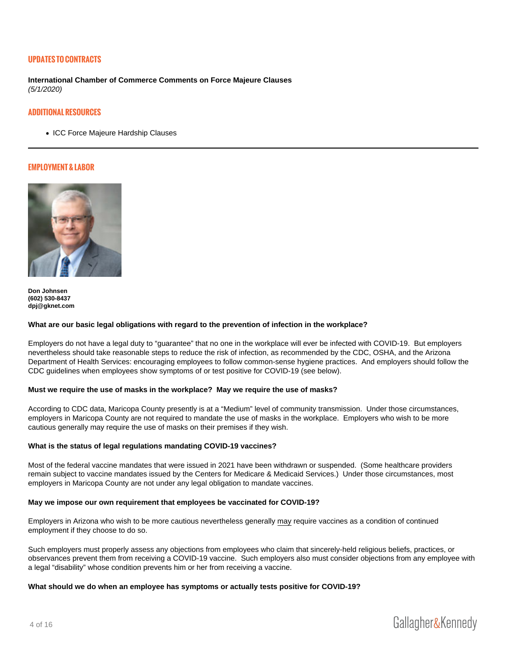## UPDATES TO CONTRACTS

International Chamber of Commerce Comments on Force Majeure Clauses (5/1/2020)

#### ADDITIONAL RESOURCES

• [ICC Force Majeure Hardship Clauses](https://gknet.com/assets/icc-forcemajeure-hardship-clauses-march2020.pdf)

#### EMPLOYMENT & LABOR

[Don Johnsen](https://gknet.com/attorneys/donjohnsen/) (602) 530-8437 [dpj@gknet.com](mailto:dpj@gknet.com)

What are our basic legal obligations with regard to the prevention of infection in the workplace?

Employers do not have a legal duty to "guarantee" that no one in the workplace will ever be infected with COVID-19. But employers nevertheless should take reasonable steps to reduce the risk of infection, as recommended by the CDC, OSHA, and the Arizona Department of Health Services: encouraging employees to follow common-sense hygiene practices. And employers should follow the CDC guidelines when employees show symptoms of or test positive for COVID-19 (see below).

Must we require the use of masks in the workplace? May we require the use of masks?

According to CDC data, Maricopa County presently is at a "Medium" level of community transmission. Under those circumstances, employers in Maricopa County are not required to mandate the use of masks in the workplace. Employers who wish to be more cautious generally may require the use of masks on their premises if they wish.

What is the status of legal regulations mandating COVID-19 vaccines?

Most of the federal vaccine mandates that were issued in 2021 have been withdrawn or suspended. (Some healthcare providers remain subject to vaccine mandates issued by the Centers for Medicare & Medicaid Services.) Under those circumstances, most employers in Maricopa County are not under any legal obligation to mandate vaccines.

May we impose our own requirement that employees be vaccinated for COVID-19?

Employers in Arizona who wish to be more cautious nevertheless generally may require vaccines as a condition of continued employment if they choose to do so.

Such employers must properly assess any objections from employees who claim that sincerely-held religious beliefs, practices, or observances prevent them from receiving a COVID-19 vaccine. Such employers also must consider objections from any employee with a legal "disability" whose condition prevents him or her from receiving a vaccine.

What should we do when an employee has symptoms or actually tests positive for COVID-19?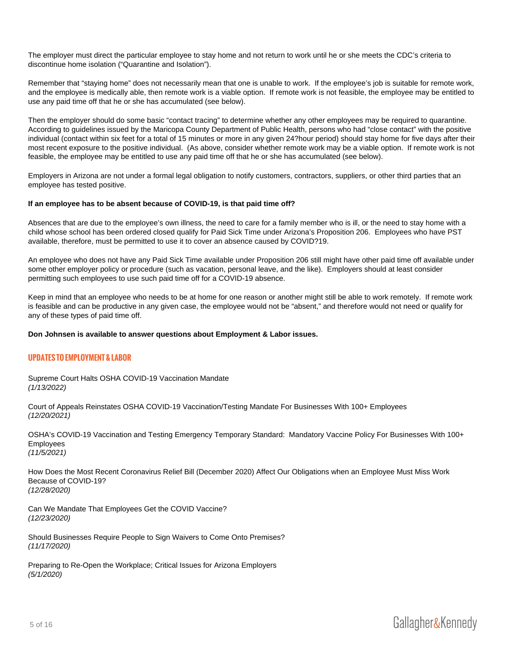The employer must direct the particular employee to stay home and not return to work until he or she meets the CDC's criteria to discontinue home isolation ("Quarantine and Isolation").

Remember that "staying home" does not necessarily mean that one is unable to work. If the employee's job is suitable for remote work, and the employee is medically able, then remote work is a viable option. If remote work is not feasible, the employee may be entitled to use any paid time off that he or she has accumulated (see below).

Then the employer should do some basic "contact tracing" to determine whether any other employees may be required to quarantine. According to guidelines issued by the Maricopa County Department of Public Health, persons who had "close contact" with the positive individual (contact within six feet for a total of 15 minutes or more in any given 24?hour period) should stay home for five days after their most recent exposure to the positive individual. (As above, consider whether remote work may be a viable option. If remote work is not feasible, the employee may be entitled to use any paid time off that he or she has accumulated (see below).

Employers in Arizona are not under a formal legal obligation to notify customers, contractors, suppliers, or other third parties that an employee has tested positive.

If an employee has to be absent because of COVID-19, is that paid time off?

Absences that are due to the employee's own illness, the need to care for a family member who is ill, or the need to stay home with a child whose school has been ordered closed qualify for Paid Sick Time under Arizona's Proposition 206. Employees who have PST available, therefore, must be permitted to use it to cover an absence caused by COVID?19.

An employee who does not have any Paid Sick Time available under Proposition 206 still might have other paid time off available under some other employer policy or procedure (such as vacation, personal leave, and the like). Employers should at least consider permitting such employees to use such paid time off for a COVID-19 absence.

Keep in mind that an employee who needs to be at home for one reason or another might still be able to work remotely. If remote work is feasible and can be productive in any given case, the employee would not be "absent," and therefore would not need or qualify for any of these types of paid time off.

Don Johnsen is available to answer questions about Employment & Labor issues.

## UPDATES TO EMPLOYMENT & LABOR

[Supreme Court Halts OSHA COVID-19 Vaccination Mandate](https://gknet.com/assets/Supreme-Court-Halts-OSHA-COVID19-Vaccination-Mandate.pdf) (1/13/2022)

[Court of Appeals Reinstates OSHA COVID-19 Vaccination/Testing Mandate For Businesses With 100+ Employees](https://gknet.com/assets/Court-of-Appeals-Reinstates-OSHA-COVID19-Vaccination-Testing-Mandate.pdf) (12/20/2021)

[OSHA's COVID-19 Vaccination and Testing Emergency Temporary Standard: Mandatory Vaccine Policy For Businesses With 100+](https://gknet.com/assets/OSHAs-COVID-19-Vaccination-and-Testing-Emergency-Temporary-Standard.pdf)  [Employees](https://gknet.com/assets/OSHAs-COVID-19-Vaccination-and-Testing-Emergency-Temporary-Standard.pdf) (11/5/2021)

[How Does the Most Recent Coronavirus Relief Bill \(December 2020\) Affect Our Obligations when an Employee Must Miss Work](https://gknet.com/assets/How-Does-the-Most-Recent-Coronavirus-Relief-Bill-Affect-Our-Obligations-When-an-Employee-Must-Miss-Work-Because-of-COVID19.pdf)  [Because of COVID-19?](https://gknet.com/assets/How-Does-the-Most-Recent-Coronavirus-Relief-Bill-Affect-Our-Obligations-When-an-Employee-Must-Miss-Work-Because-of-COVID19.pdf) (12/28/2020)

[Can We Mandate That Employees Get the COVID Vaccine?](https://gknet.com/assets/Can-we-Mandate-that-Employees-get-the-COVID-vaccine.pdf) (12/23/2020)

[Should Businesses Require People to Sign Waivers to Come Onto Premises?](https://gknet.com/assets/Should-we-require-that-people-sign-waivers-to-come-onto-the-premises.pdf) (11/17/2020)

[Preparing to Re-Open the Workplace; Critical Issues for Arizona Employers](https://gknet.com/assets/Preparing-to-Re-Open-the-Workplace-Critical-Issues-for-Arizona-Employers-Update-May-1-2020.pdf) (5/1/2020)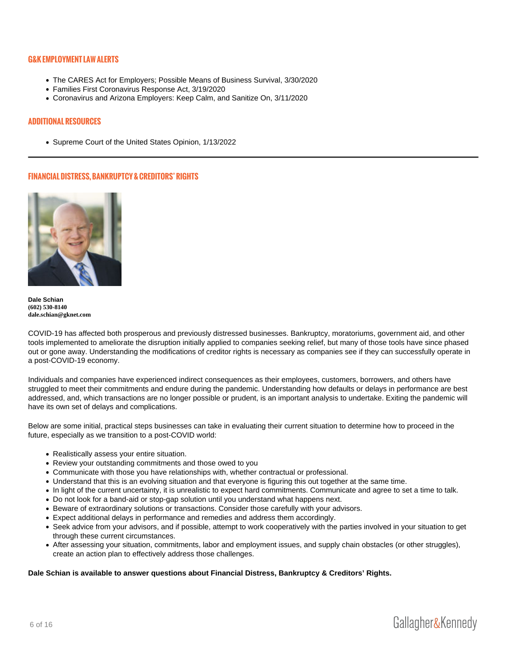## G&K EMPLOYMENT LAW ALERTS

- [The CARES Act for Employers; Possible Means of Business Survival, 3/30/2020](https://gknet.com/news/newssheets/the-cares-act-for-employers-possible-means-of-business-survival/)
- [Families First Coronavirus Response Act, 3/19/2020](https://gknet.com/news/newssheets/families-first-coronavirus-response-act/)
- [Coronavirus and Arizona Employers: Keep Calm, and Sanitize On, 3/11/2020](https://gknet.com/news/newssheets/coronavirus-and-arizona-employers-keep-calm-and-sanitize-on/)

#### ADDITIONAL RESOURCES

[Supreme Court of the United States Opinion, 1/13/2022](https://www.supremecourt.gov/opinions/21pdf/21a244_hgci.pdf)

## FINANCIAL DISTRESS, BANKRUPTCY & CREDITORS RIGHTS

[Dale Schian](https://gknet.com/attorneys/daleschian/) (602) 530-8140 [dale.schian@gknet.com](mailto:dale.schian@gknet.com)

COVID-19 has affected both prosperous and previously distressed businesses. Bankruptcy, moratoriums, government aid, and other tools implemented to ameliorate the disruption initially applied to companies seeking relief, but many of those tools have since phased out or gone away. Understanding the modifications of creditor rights is necessary as companies see if they can successfully operate in a post-COVID-19 economy.

Individuals and companies have experienced indirect consequences as their employees, customers, borrowers, and others have struggled to meet their commitments and endure during the pandemic. Understanding how defaults or delays in performance are best addressed, and, which transactions are no longer possible or prudent, is an important analysis to undertake. Exiting the pandemic will have its own set of delays and complications.

Below are some initial, practical steps businesses can take in evaluating their current situation to determine how to proceed in the future, especially as we transition to a post-COVID world:

- Realistically assess your entire situation.
- Review your outstanding commitments and those owed to you
- Communicate with those you have relationships with, whether contractual or professional.
- Understand that this is an evolving situation and that everyone is figuring this out together at the same time.
- In light of the current uncertainty, it is unrealistic to expect hard commitments. Communicate and agree to set a time to talk.
- Do not look for a band-aid or stop-gap solution until you understand what happens next.
- Beware of extraordinary solutions or transactions. Consider those carefully with your advisors.
- Expect additional delays in performance and remedies and address them accordingly.
- Seek advice from your advisors, and if possible, attempt to work cooperatively with the parties involved in your situation to get through these current circumstances.
- After assessing your situation, commitments, labor and employment issues, and supply chain obstacles (or other struggles), create an action plan to effectively address those challenges.

Dale Schian is available to answer questions about Financial Distress, Bankruptcy & Creditors' Rights.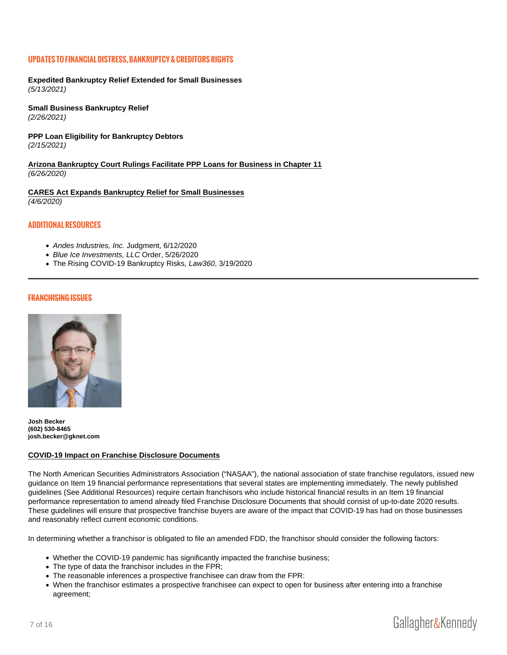#### UPDATES TO FINANCIAL DISTRESS, BANKRUPTCY & CREDITORS RIGHTS

[Expedited Bankruptcy Relief Extended for Small Businesses](https://gknet.com/assets/Expedited-Bankruptcy-Relief-Extended-for-Small-Businesses.pdf) (5/13/2021)

[Small Business Bankruptcy Relief](https://gknet.com/assets/Small-Business-Bankruptcy-Relief.pdf) (2/26/2021)

[PPP Loan Eligibility for Bankruptcy Debtors](https://gknet.com/assets/PPP-Loan-Eligibility-for-Bankruptcy-Debtors-.pdf) (2/15/2021)

Arizona Bankruptcy Court Rulings Facilitate PPP Loans for Business in Chapter 11 (6/26/2020)

[CARES Act Expands Bankruptcy Relief for Small Businesses](https://gknet.com/assets/CARES-Act-Expands-Bankruptcy-Relief-for-Small-Businesses-April-6-2020.pdf) (4/6/2020)

# ADDITIONAL RESOURCES

- [Andes Industries, Inc.](https://gknet.com/assets/Andes-judgment.pdf) Judgment, 6/12/2020
- [Blue Ice Investme](https://gknet.com/assets/Blue-Ice-Order.pdf)nts, LLC Order, 5/26/2020
- [The Rising COVID-19 Bankruptcy Risks, Law360, 3/1](https://www.law360.com/articles/1254545)9/2020

#### FRANCHISING ISSUES

[Josh Becker](https://gknet.com/attorneys/joshua-becker/) (602) 530-8465 [josh.becker@gknet.com](mailto:josh.becker@gknet.com)

#### COVID-19 Impact on Franchise Disclosure Documents

The North American Securities Administrators Association ("NASAA"), the national association of state franchise regulators, issued new guidance on Item 19 financial performance representations that several states are implementing immediately. The newly published guidelines (See Additional Resources) require certain franchisors who include historical financial results in an Item 19 financial performance representation to amend already filed Franchise Disclosure Documents that should consist of up-to-date 2020 results. These guidelines will ensure that prospective franchise buyers are aware of the impact that COVID-19 has had on those businesses and reasonably reflect current economic conditions.

In determining whether a franchisor is obligated to file an amended FDD, the franchisor should consider the following factors:

- Whether the COVID-19 pandemic has significantly impacted the franchise business;
- The type of data the franchisor includes in the FPR;
- The reasonable inferences a prospective franchisee can draw from the FPR:
- When the franchisor estimates a prospective franchisee can expect to open for business after entering into a franchise agreement;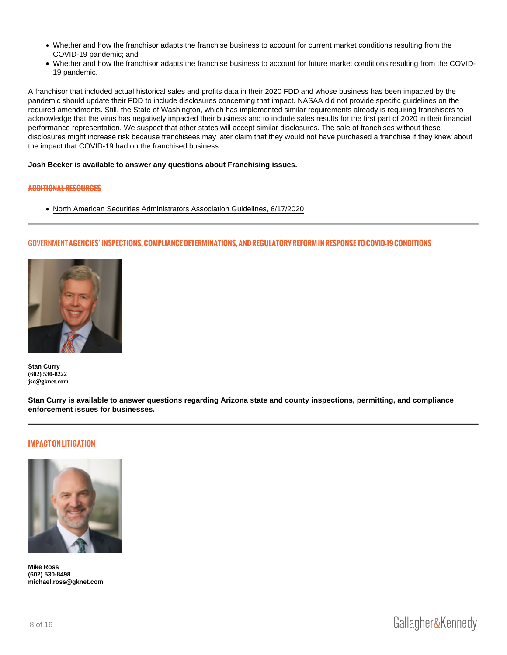- Whether and how the franchisor adapts the franchise business to account for current market conditions resulting from the COVID-19 pandemic; and
- Whether and how the franchisor adapts the franchise business to account for future market conditions resulting from the COVID-19 pandemic.

A franchisor that included actual historical sales and profits data in their 2020 FDD and whose business has been impacted by the pandemic should update their FDD to include disclosures concerning that impact. NASAA did not provide specific guidelines on the required amendments. Still, the State of Washington, which has implemented similar requirements already is requiring franchisors to acknowledge that the virus has negatively impacted their business and to include sales results for the first part of 2020 in their financial performance representation. We suspect that other states will accept similar disclosures. The sale of franchises without these disclosures might increase risk because franchisees may later claim that they would not have purchased a franchise if they knew about the impact that COVID-19 had on the franchised business.

Josh Becker is available to answer any questions about Franchising issues.

## ADDITIONAL RESOURCES

[North American Securities Administrators Association Guidelines, 6/17/2020](https://www.nasaa.org/wp-content/uploads/2020/06/FPRs-in-the-time-of-COVID-19.pdf)

#### GOVERNMENTCIES INSPECTIONS, COMPLIANCE DETERMINATIONS, AND REGULATORY R

[Stan Curry](https://gknet.com/attorneys/stancurry/) (602) 530-8222 [jsc@gknet.com](mailto:jsc@gknet.com)

Stan Curry is available to answer questions regarding Arizona state and county inspections, permitting, and compliance enforcement issues for businesses.

## IMPACT ON LITIGATION

[Mike Ross](https://gknet.com/attorneys/michael-r-ross/) (602) 530-8498 [michael.ross@gknet.com](mailto:michael.ross@gkne.com)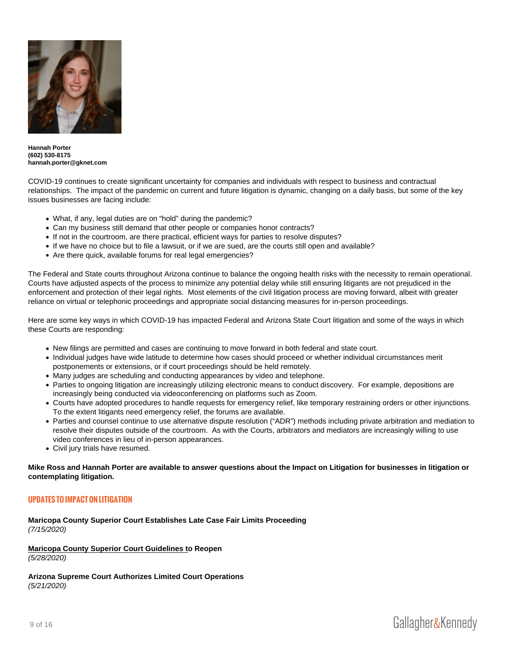[Hannah Porter](https://gknet.com/attorneys/hannahporter/) (602) 530-8175 [hannah.porter@gknet.com](mailto:hannah.porter@gknet.com)

COVID-19 continues to create significant uncertainty for companies and individuals with respect to business and contractual relationships. The impact of the pandemic on current and future litigation is dynamic, changing on a daily basis, but some of the key issues businesses are facing include:

- What, if any, legal duties are on "hold" during the pandemic?
- Can my business still demand that other people or companies honor contracts?
- If not in the courtroom, are there practical, efficient ways for parties to resolve disputes?
- If we have no choice but to file a lawsuit, or if we are sued, are the courts still open and available?
- Are there quick, available forums for real legal emergencies?

The Federal and State courts throughout Arizona continue to balance the ongoing health risks with the necessity to remain operational. Courts have adjusted aspects of the process to minimize any potential delay while still ensuring litigants are not prejudiced in the enforcement and protection of their legal rights. Most elements of the civil litigation process are moving forward, albeit with greater reliance on virtual or telephonic proceedings and appropriate social distancing measures for in-person proceedings.

Here are some key ways in which COVID-19 has impacted Federal and Arizona State Court litigation and some of the ways in which these Courts are responding:

- New filings are permitted and cases are continuing to move forward in both federal and state court.
- Individual judges have wide latitude to determine how cases should proceed or whether individual circumstances merit postponements or extensions, or if court proceedings should be held remotely.
- Many judges are scheduling and conducting appearances by video and telephone.
- Parties to ongoing litigation are increasingly utilizing electronic means to conduct discovery. For example, depositions are increasingly being conducted via videoconferencing on platforms such as Zoom.
- Courts have adopted procedures to handle requests for emergency relief, like temporary restraining orders or other injunctions. To the extent litigants need emergency relief, the forums are available.
- Parties and counsel continue to use alternative dispute resolution ("ADR") methods including private arbitration and mediation to resolve their disputes outside of the courtroom. As with the Courts, arbitrators and mediators are increasingly willing to use video conferences in lieu of in-person appearances.
- Civil jury trials have resumed.

Mike Ross and Hannah Porter are available to answer questions about the Impact on Litigation for businesses in litigation or contemplating litigation.

# UPDATEDS IMPACT ON LITIGATION

[Maricopa County Superior Court Establishes Late Case Fair Limits Proceeding](https://gknet.com/assets/Maricopa-County-Superior-Court-Establishes-Late-Case-Fair-Limits-Proceeding-July-15-2020.pdf) (7/15/2020)

Maricopa County Superior Court Guidelines t o Reopen (5/28/2020)

[Arizona Supreme Court Authorizes Limited Court Operations](https://gknet.com/assets/Arizona-Supreme-Court-Authorizes-Limited-Court-Operations-May-21-2020.pdf) (5/21/2020)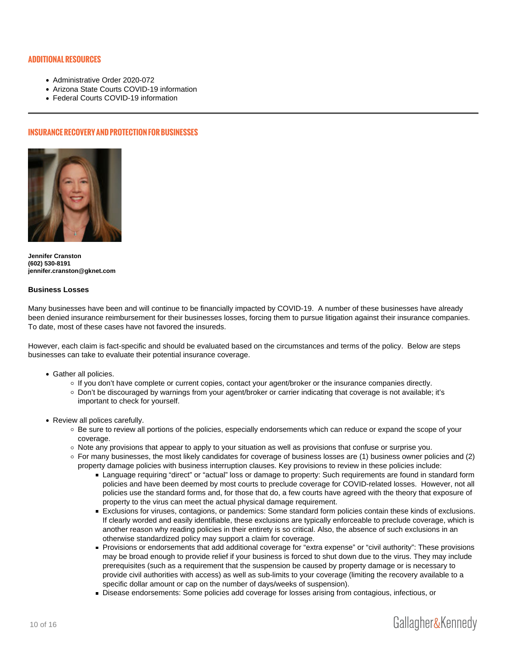## ADDITIONAL RESOURCES

- [Administrative Order 2020-072](https://gknet.com/assets/AO2020-072Maricopa.pdf)
- [Arizona State Courts COVID-19 information](https://www.azcourts.gov/covid19/)
- [Federal Courts COVID-19 information](https://www.uscourts.gov/about-federal-courts/court-website-links/court-orders-and-updates-during-covid19-pandemic#district)

#### INSURANCE RECOVERY AND PROTECTION FOR BUSINESSES

[Jennifer Cranston](https://gknet.com/attorneys/jennifercranston/) (602) 530-8191 [jennifer.cranston@gknet.com](mailto:jennifer.cranston@gknet.com)

#### Business Losses

Many businesses have been and will continue to be financially impacted by COVID-19. A number of these businesses have already been denied insurance reimbursement for their businesses losses, forcing them to pursue litigation against their insurance companies. To date, most of these cases have not favored the insureds.

However, each claim is fact-specific and should be evaluated based on the circumstances and terms of the policy. Below are steps businesses can take to evaluate their potential insurance coverage.

- Gather all policies.
	- If you don't have complete or current copies, contact your agent/broker or the insurance companies directly.
	- Don't be discouraged by warnings from your agent/broker or carrier indicating that coverage is not available; it's important to check for yourself.
- Review all polices carefully.
	- Be sure to review all portions of the policies, especially endorsements which can reduce or expand the scope of your coverage.
	- $\circ$  Note any provisions that appear to apply to your situation as well as provisions that confuse or surprise you.
	- $\circ$  For many businesses, the most likely candidates for coverage of business losses are (1) business owner policies and (2) property damage policies with business interruption clauses. Key provisions to review in these policies include:
		- Language requiring "direct" or "actual" loss or damage to property: Such requirements are found in standard form policies and have been deemed by most courts to preclude coverage for COVID-related losses. However, not all policies use the standard forms and, for those that do, a few courts have agreed with the theory that exposure of property to the virus can meet the actual physical damage requirement.
		- Exclusions for viruses, contagions, or pandemics: Some standard form policies contain these kinds of exclusions. If clearly worded and easily identifiable, these exclusions are typically enforceable to preclude coverage, which is another reason why reading policies in their entirety is so critical. Also, the absence of such exclusions in an otherwise standardized policy may support a claim for coverage.
		- Provisions or endorsements that add additional coverage for "extra expense" or "civil authority": These provisions may be broad enough to provide relief if your business is forced to shut down due to the virus. They may include prerequisites (such as a requirement that the suspension be caused by property damage or is necessary to provide civil authorities with access) as well as sub-limits to your coverage (limiting the recovery available to a specific dollar amount or cap on the number of days/weeks of suspension).
		- Disease endorsements: Some policies add coverage for losses arising from contagious, infectious, or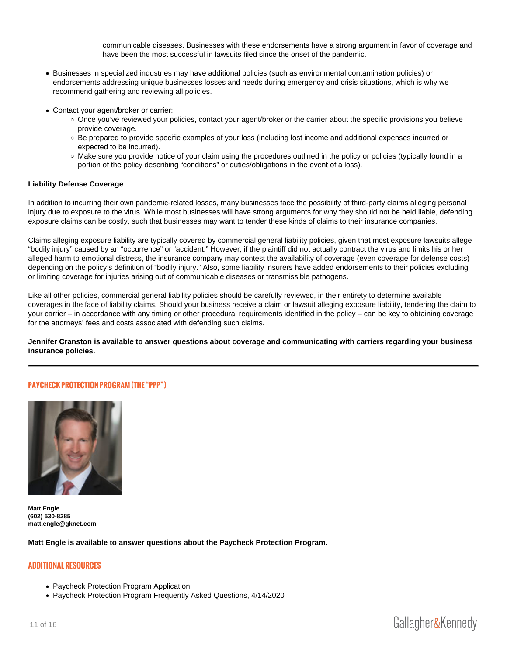communicable diseases. Businesses with these endorsements have a strong argument in favor of coverage and have been the most successful in lawsuits filed since the onset of the pandemic.

- Businesses in specialized industries may have additional policies (such as environmental contamination policies) or endorsements addressing unique businesses losses and needs during emergency and crisis situations, which is why we recommend gathering and reviewing all policies.
- Contact your agent/broker or carrier:
	- Once you've reviewed your policies, contact your agent/broker or the carrier about the specific provisions you believe provide coverage.
	- Be prepared to provide specific examples of your loss (including lost income and additional expenses incurred or expected to be incurred).
	- Make sure you provide notice of your claim using the procedures outlined in the policy or policies (typically found in a portion of the policy describing "conditions" or duties/obligations in the event of a loss).

#### Liability Defense Coverage

In addition to incurring their own pandemic-related losses, many businesses face the possibility of third-party claims alleging personal injury due to exposure to the virus. While most businesses will have strong arguments for why they should not be held liable, defending exposure claims can be costly, such that businesses may want to tender these kinds of claims to their insurance companies.

Claims alleging exposure liability are typically covered by commercial general liability policies, given that most exposure lawsuits allege "bodily injury" caused by an "occurrence" or "accident." However, if the plaintiff did not actually contract the virus and limits his or her alleged harm to emotional distress, the insurance company may contest the availability of coverage (even coverage for defense costs) depending on the policy's definition of "bodily injury." Also, some liability insurers have added endorsements to their policies excluding or limiting coverage for injuries arising out of communicable diseases or transmissible pathogens.

Like all other policies, commercial general liability policies should be carefully reviewed, in their entirety to determine available coverages in the face of liability claims. Should your business receive a claim or lawsuit alleging exposure liability, tendering the claim to your carrier – in accordance with any timing or other procedural requirements identified in the policy – can be key to obtaining coverage for the attorneys' fees and costs associated with defending such claims.

Jennifer Cranston is available to answer questions about coverage and communicating with carriers regarding your business insurance policies.

#### PAYCHECK PROTECTION PROGRAM (THE PPP )

[Matt Engle](https://gknet.com/attorneys/matthew-h-engle/) (602) 530-8285 [matt.engle@gknet.com](mailto:matt.engle@gknet.com)

Matt Engle is available to answer questions about the Paycheck Protection Program.

## ADDITIONAL RESOURCES

- [Paycheck Protection Program Application](https://home.treasury.gov/system/files/136/Paycheck-Protection-Program-Application-3-30-2020-v3.pdf)
- [Paycheck Protection Program Frequently Asked Questions, 4/14/2020](https://gknet.com/assets/Paycheck-Protection-Program-Frequently-Asked-Questions-April-14-2020.pdf)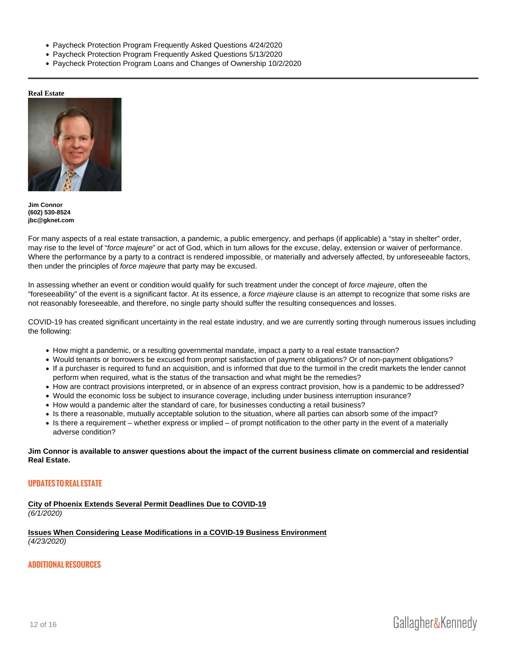- [Paycheck Protection Program Frequently Asked Questions 4/24/2020](https://gknet.com/assets/Paycheck-Protection-Program-Frequently-Asked-Questions_04-24-20.pdf.pdf)
- [Paycheck Protection Program Frequently Asked Questions 5/13/2020](https://home.treasury.gov/system/files/136/Paycheck-Protection-Program-Frequently-Asked-Questions.pdf)
- [Paycheck Protection Program Loans and Changes of Ownership 10/2/2020](https://www.sba.gov/sites/default/files/2020-10/5000-20057-508.pdf)

Real Estate

[Jim Connor](https://gknet.com/attorneys/jamesconnor/) (602) 530-8524 [jbc@gknet.com](mailto:jbc@gknet.com)

For many aspects of a real estate transaction, a pandemic, a public emergency, and perhaps (if applicable) a "stay in shelter" order, may rise to the level of "force majeure" or act of God, which in turn allows for the excuse, delay, extension or waiver of performance. Where the performance by a party to a contract is rendered impossible, or materially and adversely affected, by unforeseeable factors, then under the principles of force majeure that party may be excused.

In assessing whether an event or condition would qualify for such treatment under the concept of force majeure, often the "foreseeability" of the event is a significant factor. At its essence, a force majeure clause is an attempt to recognize that some risks are not reasonably foreseeable, and therefore, no single party should suffer the resulting consequences and losses.

COVID-19 has created significant uncertainty in the real estate industry, and we are currently sorting through numerous issues including the following:

- How might a pandemic, or a resulting governmental mandate, impact a party to a real estate transaction?
- Would tenants or borrowers be excused from prompt satisfaction of payment obligations? Or of non-payment obligations?
- If a purchaser is required to fund an acquisition, and is informed that due to the turmoil in the credit markets the lender cannot perform when required, what is the status of the transaction and what might be the remedies?
- How are contract provisions interpreted, or in absence of an express contract provision, how is a pandemic to be addressed?
- Would the economic loss be subject to insurance coverage, including under business interruption insurance?
- How would a pandemic alter the standard of care, for businesses conducting a retail business?
- Is there a reasonable, mutually acceptable solution to the situation, where all parties can absorb some of the impact?
- Is there a requirement whether express or implied of prompt notification to the other party in the event of a materially adverse condition?

Jim Connor is available to answer questions about the impact of the current business climate on commercial and residential Real Estate.

# UPDATES TO REAL ESTATE

[City of Phoenix Extends Several Permit Deadlines Due to COVID-19](https://gknet.com/assets/City-of-Phoenix-Extends-Several-Permit-Deadlines-Due-to-COVID-19.pdf) (6/1/2020)

[Issues When Considering Lease Modifications in a COVID-19 Business Environment](https://gknet.com/assets/Issues-When-Considering-Lease-Modifications-in-a-COVID-19-Business-Environment.pdf) (4/23/2020)

# ADDITIONAL RESOURCES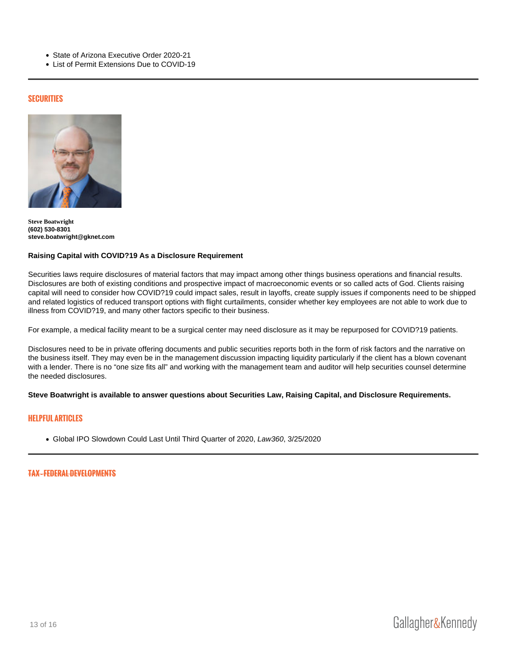- [State of Arizona Executive Order 2020-21](https://azgovernor.gov/sites/default/files/eo_2020-21_prohibiting_small_business_evictions.pdf)
- [List of Permit Extensions Due to COVID-19](https://www.phoenix.gov/pddsite/Documents/Copy of Exhibit 1- COVID-19 PDD Legistar file.pdf)

#### SECURITIES

[Steve Boatwright](https://gknet.com/attorneys/stephen-r-boatwright/) (602) 530-8301 [steve.boatwright@gknet.com](mailto:steve.boatwright@gknet.com)

Raising Capital with COVID?19 As a Disclosure Requirement

Securities laws require disclosures of material factors that may impact among other things business operations and financial results. Disclosures are both of existing conditions and prospective impact of macroeconomic events or so called acts of God. Clients raising capital will need to consider how COVID?19 could impact sales, result in layoffs, create supply issues if components need to be shipped and related logistics of reduced transport options with flight curtailments, consider whether key employees are not able to work due to illness from COVID?19, and many other factors specific to their business.

For example, a medical facility meant to be a surgical center may need disclosure as it may be repurposed for COVID?19 patients.

Disclosures need to be in private offering documents and public securities reports both in the form of risk factors and the narrative on the business itself. They may even be in the management discussion impacting liquidity particularly if the client has a blown covenant with a lender. There is no "one size fits all" and working with the management team and auditor will help securities counsel determine the needed disclosures.

Steve Boatwright is available to answer questions about Securities Law, Raising Capital, and Disclosure Requirements.

#### HELPFUL ARTICLES

[Global IPO Slowdown Could Last Until Third Quarter of 2020, Law360, 3/2](https://www.law360.com/articles/1256863)5/2020

TAX FEDERAL DEVELOPMENTS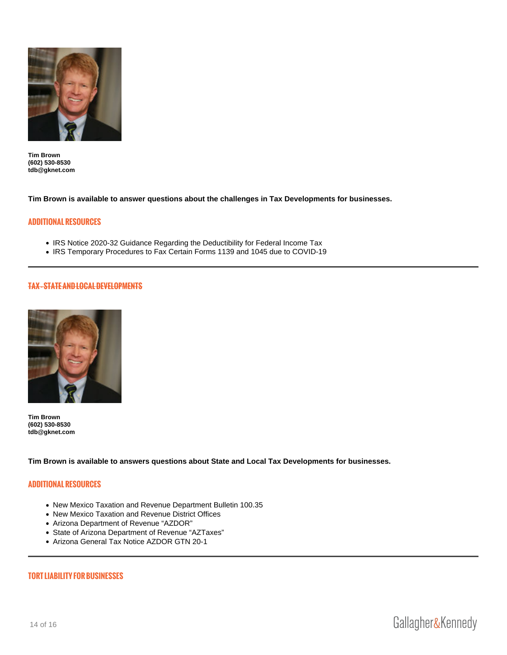[Tim Brown](https://gknet.com/attorneys/timothybrown/) (602) 530-8530 [tdb@gknet.com](mailto:tdb@gknet.com)

Tim Brown is available to answer questions about the challenges in Tax Developments for businesses.

## ADDITIONAL RESOURCES

- [IRS Notice 2020-32 Guidance Regarding the Deductibility for Federal Income Tax](https://www.irs.gov/pub/irs-drop/n-20-32.pdf)
- [IRS Temporary Procedures to Fax Certain Forms 1139 and 1045 due to COVID-19](https://www.irs.gov/newsroom/temporary-procedures-to-fax-certain-forms-1139-and-1045-due-to-covid-19)

TAX STATE AND LOCAL DEVELOPMENTS

[Tim Brown](https://gknet.com/attorneys/timothybrown/) (602) 530-8530 [tdb@gknet.com](mailto:tdb@gknet.com)

Tim Brown is available to answers questions about State and Local Tax Developments for businesses.

## ADDITIONAL RESOURCES

- [New Mexico Taxation and Revenue Department Bulletin 100.35](https://realfile.tax.newmexico.gov/B-100.35 -Tax Relief for COVID-19  (Extension).pdf)
- [New Mexico Taxation and Revenue District Offices](https://www.tax.newmexico.gov/uploads/files/Tax_Appointments.pdf)
- [Arizona Department of Revenue "AZDOR"](https://azdor.gov/)
- [State of Arizona Department of Revenue "AZTaxes"](https://aztaxes.gov/Home/Page)
- [Arizona General Tax Notice AZDOR GTN 20-1](https://azdor.gov/sites/default/files/PUBLICATION_GTN-20-1.pdf)

#### TORT LIABILITY FOR BUSINESSES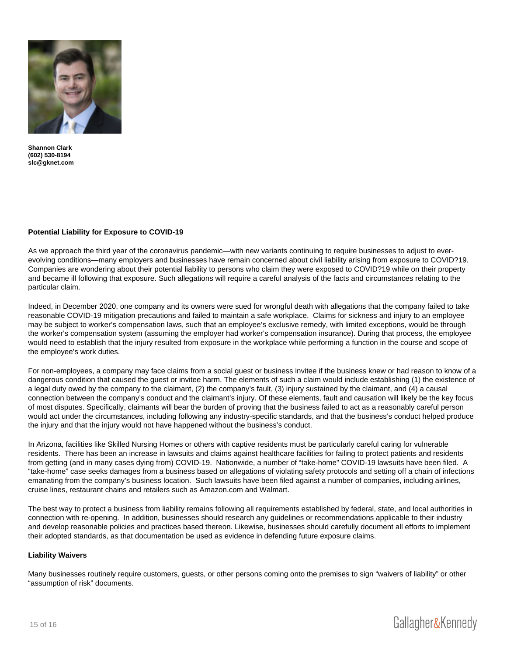[Shannon Clark](https://gknet.com/attorneys/shannon-clark-plaintiffs-personal-injury-wrongful-death-attorney/) (602) 530-8194 [slc@gknet.com](mailto:slc@gknet.com)

Potential Liability for Exposure to COVID-19

As we approach the third year of the coronavirus pandemic—with new variants continuing to require businesses to adjust to everevolving conditions—many employers and businesses have remain concerned about civil liability arising from exposure to COVID?19. Companies are wondering about their potential liability to persons who claim they were exposed to COVID?19 while on their property and became ill following that exposure. Such allegations will require a careful analysis of the facts and circumstances relating to the particular claim.

Indeed, in December 2020, one company and its owners were sued for wrongful death with allegations that the company failed to take reasonable COVID-19 mitigation precautions and failed to maintain a safe workplace. Claims for sickness and injury to an employee may be subject to worker's compensation laws, such that an employee's exclusive remedy, with limited exceptions, would be through the worker's compensation system (assuming the employer had worker's compensation insurance). During that process, the employee would need to establish that the injury resulted from exposure in the workplace while performing a function in the course and scope of the employee's work duties.

For non-employees, a company may face claims from a social guest or business invitee if the business knew or had reason to know of a dangerous condition that caused the guest or invitee harm. The elements of such a claim would include establishing (1) the existence of a legal duty owed by the company to the claimant, (2) the company's fault, (3) injury sustained by the claimant, and (4) a causal connection between the company's conduct and the claimant's injury. Of these elements, fault and causation will likely be the key focus of most disputes. Specifically, claimants will bear the burden of proving that the business failed to act as a reasonably careful person would act under the circumstances, including following any industry-specific standards, and that the business's conduct helped produce the injury and that the injury would not have happened without the business's conduct.

In Arizona, facilities like Skilled Nursing Homes or others with captive residents must be particularly careful caring for vulnerable residents. There has been an increase in lawsuits and claims against healthcare facilities for failing to protect patients and residents from getting (and in many cases dying from) COVID-19. Nationwide, a number of "take-home" COVID-19 lawsuits have been filed. A "take-home" case seeks damages from a business based on allegations of violating safety protocols and setting off a chain of infections emanating from the company's business location. Such lawsuits have been filed against a number of companies, including airlines, cruise lines, restaurant chains and retailers such as Amazon.com and Walmart.

The best way to protect a business from liability remains following all requirements established by federal, state, and local authorities in connection with re-opening. In addition, businesses should research any guidelines or recommendations applicable to their industry and develop reasonable policies and practices based thereon. Likewise, businesses should carefully document all efforts to implement their adopted standards, as that documentation be used as evidence in defending future exposure claims.

#### Liability Waivers

Many businesses routinely require customers, guests, or other persons coming onto the premises to sign "waivers of liability" or other "assumption of risk" documents.